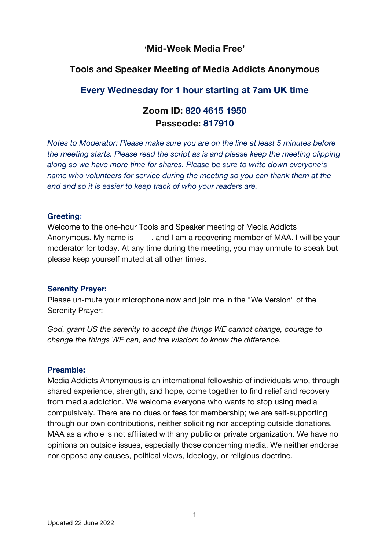## **'Mid-Week Media Free'**

# **Tools and Speaker Meeting of Media Addicts Anonymous**

# **Every Wednesday for 1 hour starting at 7am UK time**

# **Zoom ID: 820 4615 1950 Passcode: 817910**

*Notes to Moderator: Please make sure you are on the line at least 5 minutes before the meeting starts. Please read the script as is and please keep the meeting clipping along so we have more time for shares. Please be sure to write down everyone's name who volunteers for service during the meeting so you can thank them at the end and so it is easier to keep track of who your readers are.*

#### **Greeting***:*

Welcome to the one-hour Tools and Speaker meeting of Media Addicts Anonymous. My name is early and I am a recovering member of MAA. I will be your moderator for today. At any time during the meeting, you may unmute to speak but please keep yourself muted at all other times.

#### **Serenity Prayer:**

Please un-mute your microphone now and join me in the "We Version" of the Serenity Prayer:

*God, grant US the serenity to accept the things WE cannot change, courage to change the things WE can, and the wisdom to know the difference.*

#### **Preamble:**

Media Addicts Anonymous is an international fellowship of individuals who, through shared experience, strength, and hope, come together to find relief and recovery from media addiction. We welcome everyone who wants to stop using media compulsively. There are no dues or fees for membership; we are self-supporting through our own contributions, neither soliciting nor accepting outside donations. MAA as a whole is not affiliated with any public or private organization. We have no opinions on outside issues, especially those concerning media. We neither endorse nor oppose any causes, political views, ideology, or religious doctrine.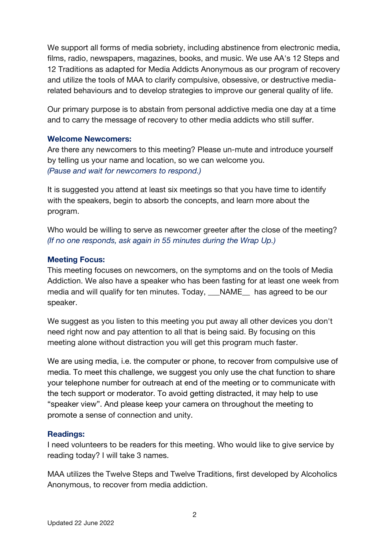We support all forms of media sobriety, including abstinence from electronic media, films, radio, newspapers, magazines, books, and music. We use AA's 12 Steps and 12 Traditions as adapted for Media Addicts Anonymous as our program of recovery and utilize the tools of MAA to clarify compulsive, obsessive, or destructive mediarelated behaviours and to develop strategies to improve our general quality of life.

Our primary purpose is to abstain from personal addictive media one day at a time and to carry the message of recovery to other media addicts who still suffer.

#### **Welcome Newcomers:**

Are there any newcomers to this meeting? Please un-mute and introduce yourself by telling us your name and location, so we can welcome you. *(Pause and wait for newcomers to respond.)*

It is suggested you attend at least six meetings so that you have time to identify with the speakers, begin to absorb the concepts, and learn more about the program.

Who would be willing to serve as newcomer greeter after the close of the meeting? *(If no one responds, ask again in 55 minutes during the Wrap Up.)*

## **Meeting Focus:**

This meeting focuses on newcomers, on the symptoms and on the tools of Media Addiction. We also have a speaker who has been fasting for at least one week from media and will qualify for ten minutes. Today, \_\_\_NAME\_\_ has agreed to be our speaker.

We suggest as you listen to this meeting you put away all other devices you don't need right now and pay attention to all that is being said. By focusing on this meeting alone without distraction you will get this program much faster.

We are using media, i.e. the computer or phone, to recover from compulsive use of media. To meet this challenge, we suggest you only use the chat function to share your telephone number for outreach at end of the meeting or to communicate with the tech support or moderator. To avoid getting distracted, it may help to use "speaker view". And please keep your camera on throughout the meeting to promote a sense of connection and unity.

## **Readings:**

I need volunteers to be readers for this meeting. Who would like to give service by reading today? I will take 3 names.

MAA utilizes the Twelve Steps and Twelve Traditions, first developed by Alcoholics Anonymous, to recover from media addiction.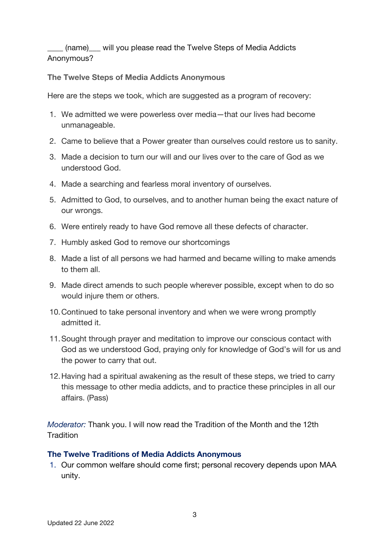(name) will you please read the Twelve Steps of Media Addicts Anonymous?

**The Twelve Steps of Media Addicts Anonymous**

Here are the steps we took, which are suggested as a program of recovery:

- 1. We admitted we were powerless over media—that our lives had become unmanageable.
- 2. Came to believe that a Power greater than ourselves could restore us to sanity.
- 3. Made a decision to turn our will and our lives over to the care of God as we understood God.
- 4. Made a searching and fearless moral inventory of ourselves.
- 5. Admitted to God, to ourselves, and to another human being the exact nature of our wrongs.
- 6. Were entirely ready to have God remove all these defects of character.
- 7. Humbly asked God to remove our shortcomings
- 8. Made a list of all persons we had harmed and became willing to make amends to them all.
- 9. Made direct amends to such people wherever possible, except when to do so would injure them or others.
- 10.Continued to take personal inventory and when we were wrong promptly admitted it.
- 11.Sought through prayer and meditation to improve our conscious contact with God as we understood God, praying only for knowledge of God's will for us and the power to carry that out.
- 12.Having had a spiritual awakening as the result of these steps, we tried to carry this message to other media addicts, and to practice these principles in all our affairs. (Pass)

*Moderator:* Thank you. I will now read the Tradition of the Month and the 12th **Tradition** 

## **The Twelve Traditions of Media Addicts Anonymous**

1. Our common welfare should come first; personal recovery depends upon MAA unity.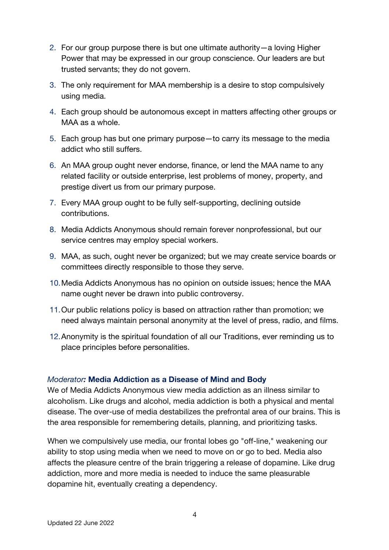- 2. For our group purpose there is but one ultimate authority—a loving Higher Power that may be expressed in our group conscience. Our leaders are but trusted servants; they do not govern.
- 3. The only requirement for MAA membership is a desire to stop compulsively using media.
- 4. Each group should be autonomous except in matters affecting other groups or MAA as a whole.
- 5. Each group has but one primary purpose—to carry its message to the media addict who still suffers.
- 6. An MAA group ought never endorse, finance, or lend the MAA name to any related facility or outside enterprise, lest problems of money, property, and prestige divert us from our primary purpose.
- 7. Every MAA group ought to be fully self-supporting, declining outside contributions.
- 8. Media Addicts Anonymous should remain forever nonprofessional, but our service centres may employ special workers.
- 9. MAA, as such, ought never be organized; but we may create service boards or committees directly responsible to those they serve.
- 10.Media Addicts Anonymous has no opinion on outside issues; hence the MAA name ought never be drawn into public controversy.
- 11.Our public relations policy is based on attraction rather than promotion; we need always maintain personal anonymity at the level of press, radio, and films.
- 12.Anonymity is the spiritual foundation of all our Traditions, ever reminding us to place principles before personalities.

## *Moderator:* **Media Addiction as a Disease of Mind and Body**

We of Media Addicts Anonymous view media addiction as an illness similar to alcoholism. Like drugs and alcohol, media addiction is both a physical and mental disease. The over-use of media destabilizes the prefrontal area of our brains. This is the area responsible for remembering details, planning, and prioritizing tasks.

When we compulsively use media, our frontal lobes go "off-line," weakening our ability to stop using media when we need to move on or go to bed. Media also affects the pleasure centre of the brain triggering a release of dopamine. Like drug addiction, more and more media is needed to induce the same pleasurable dopamine hit, eventually creating a dependency.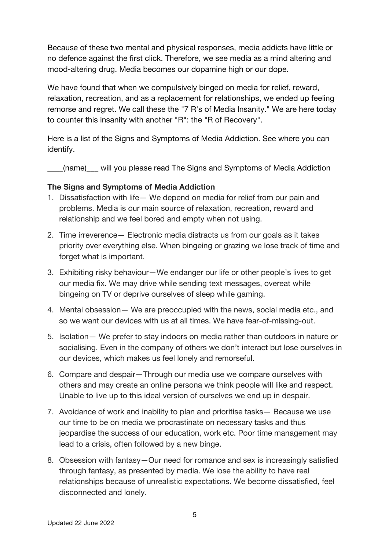Because of these two mental and physical responses, media addicts have little or no defence against the first click. Therefore, we see media as a mind altering and mood-altering drug. Media becomes our dopamine high or our dope.

We have found that when we compulsively binged on media for relief, reward, relaxation, recreation, and as a replacement for relationships, we ended up feeling remorse and regret. We call these the "7 R's of Media Insanity." We are here today to counter this insanity with another "R": the "R of Recovery".

Here is a list of the Signs and Symptoms of Media Addiction. See where you can identify.

(name) will you please read The Signs and Symptoms of Media Addiction

## **The Signs and Symptoms of Media Addiction**

- 1. Dissatisfaction with life— We depend on media for relief from our pain and problems. Media is our main source of relaxation, recreation, reward and relationship and we feel bored and empty when not using.
- 2. Time irreverence— Electronic media distracts us from our goals as it takes priority over everything else. When bingeing or grazing we lose track of time and forget what is important.
- 3. Exhibiting risky behaviour—We endanger our life or other people's lives to get our media fix. We may drive while sending text messages, overeat while bingeing on TV or deprive ourselves of sleep while gaming.
- 4. Mental obsession— We are preoccupied with the news, social media etc., and so we want our devices with us at all times. We have fear-of-missing-out.
- 5. Isolation— We prefer to stay indoors on media rather than outdoors in nature or socialising. Even in the company of others we don't interact but lose ourselves in our devices, which makes us feel lonely and remorseful.
- 6. Compare and despair—Through our media use we compare ourselves with others and may create an online persona we think people will like and respect. Unable to live up to this ideal version of ourselves we end up in despair.
- 7. Avoidance of work and inability to plan and prioritise tasks— Because we use our time to be on media we procrastinate on necessary tasks and thus jeopardise the success of our education, work etc. Poor time management may lead to a crisis, often followed by a new binge.
- 8. Obsession with fantasy—Our need for romance and sex is increasingly satisfied through fantasy, as presented by media. We lose the ability to have real relationships because of unrealistic expectations. We become dissatisfied, feel disconnected and lonely.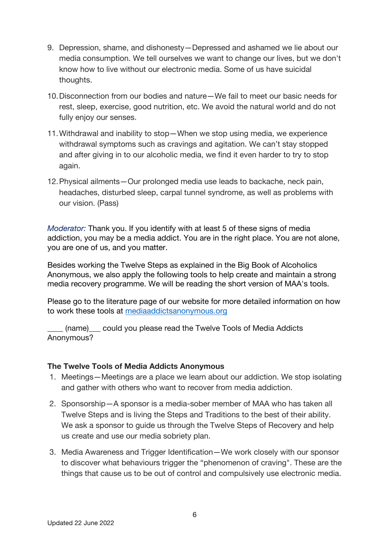- 9. Depression, shame, and dishonesty—Depressed and ashamed we lie about our media consumption. We tell ourselves we want to change our lives, but we don't know how to live without our electronic media. Some of us have suicidal thoughts.
- 10.Disconnection from our bodies and nature—We fail to meet our basic needs for rest, sleep, exercise, good nutrition, etc. We avoid the natural world and do not fully enjoy our senses.
- 11.Withdrawal and inability to stop—When we stop using media, we experience withdrawal symptoms such as cravings and agitation. We can't stay stopped and after giving in to our alcoholic media, we find it even harder to try to stop again.
- 12.Physical ailments—Our prolonged media use leads to backache, neck pain, headaches, disturbed sleep, carpal tunnel syndrome, as well as problems with our vision. (Pass)

*Moderator:* Thank you. If you identify with at least 5 of these signs of media addiction, you may be a media addict. You are in the right place. You are not alone, you are one of us, and you matter.

Besides working the Twelve Steps as explained in the Big Book of Alcoholics Anonymous, we also apply the following tools to help create and maintain a strong media recovery programme. We will be reading the short version of MAA's tools.

Please go to the literature page of our website for more detailed information on how to work these tools at mediaaddictsanonymous.org

\_\_\_\_ (name)\_\_\_ could you please read the Twelve Tools of Media Addicts Anonymous?

## **The Twelve Tools of Media Addicts Anonymous**

- 1. Meetings—Meetings are a place we learn about our addiction. We stop isolating and gather with others who want to recover from media addiction.
- 2. Sponsorship—A sponsor is a media-sober member of MAA who has taken all Twelve Steps and is living the Steps and Traditions to the best of their ability. We ask a sponsor to guide us through the Twelve Steps of Recovery and help us create and use our media sobriety plan.
- 3. Media Awareness and Trigger Identification—We work closely with our sponsor to discover what behaviours trigger the "phenomenon of craving". These are the things that cause us to be out of control and compulsively use electronic media.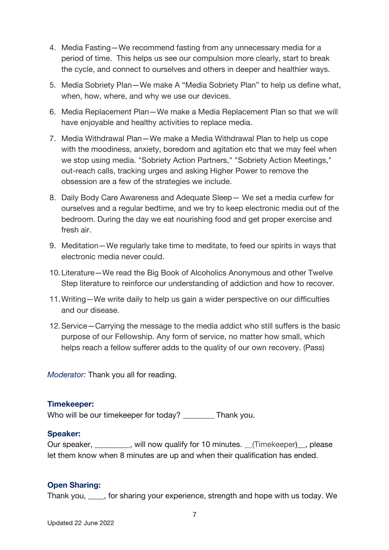- 4. Media Fasting—We recommend fasting from any unnecessary media for a period of time. This helps us see our compulsion more clearly, start to break the cycle, and connect to ourselves and others in deeper and healthier ways.
- 5. Media Sobriety Plan—We make A "Media Sobriety Plan" to help us define what, when, how, where, and why we use our devices.
- 6. Media Replacement Plan—We make a Media Replacement Plan so that we will have enjoyable and healthy activities to replace media.
- 7. Media Withdrawal Plan—We make a Media Withdrawal Plan to help us cope with the moodiness, anxiety, boredom and agitation etc that we may feel when we stop using media. "Sobriety Action Partners," "Sobriety Action Meetings," out-reach calls, tracking urges and asking Higher Power to remove the obsession are a few of the strategies we include.
- 8. Daily Body Care Awareness and Adequate Sleep— We set a media curfew for ourselves and a regular bedtime, and we try to keep electronic media out of the bedroom. During the day we eat nourishing food and get proper exercise and fresh air.
- 9. Meditation—We regularly take time to meditate, to feed our spirits in ways that electronic media never could.
- 10.Literature—We read the Big Book of Alcoholics Anonymous and other Twelve Step literature to reinforce our understanding of addiction and how to recover.
- 11.Writing—We write daily to help us gain a wider perspective on our difficulties and our disease.
- 12.Service—Carrying the message to the media addict who still suffers is the basic purpose of our Fellowship. Any form of service, no matter how small, which helps reach a fellow sufferer adds to the quality of our own recovery. (Pass)

*Moderator:* Thank you all for reading.

## **Timekeeper:**

Who will be our timekeeper for today? \_\_\_\_\_\_\_\_ Thank you.

## **Speaker:**

Our speaker, \_\_\_\_\_\_\_\_, will now qualify for 10 minutes. \_\_(Timekeeper)\_, please let them know when 8 minutes are up and when their qualification has ended.

## **Open Sharing:**

Thank you, \_\_\_\_, for sharing your experience, strength and hope with us today. We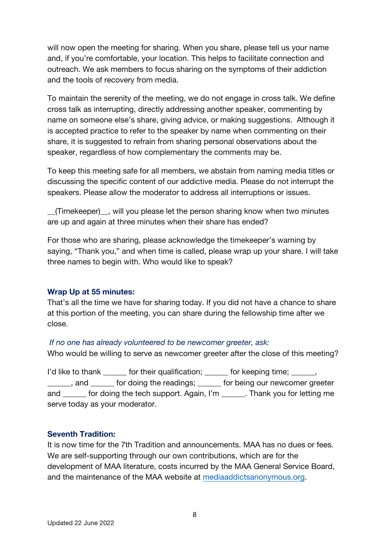will now open the meeting for sharing. When you share, please tell us your name and, if you're comfortable, your location. This helps to facilitate connection and outreach. We ask members to focus sharing on the symptoms of their addiction and the tools of recovery from media.

To maintain the serenity of the meeting, we do not engage in cross talk. We define cross talk as interrupting, directly addressing another speaker, commenting by name on someone else's share, giving advice, or making suggestions. Although it is accepted practice to refer to the speaker by name when commenting on their share, it is suggested to refrain from sharing personal observations about the speaker, regardless of how complementary the comments may be.

To keep this meeting safe for all members, we abstain from naming media titles or discussing the specific content of our addictive media. Please do not interrupt the speakers. Please allow the moderator to address all interruptions or issues.

\_\_(Timekeeper)\_\_, will you please let the person sharing know when two minutes are up and again at three minutes when their share has ended?

For those who are sharing, please acknowledge the timekeeper's warning by saying, "Thank you," and when time is called, please wrap up your share. I will take three names to begin with. Who would like to speak?

#### **Wrap Up at 55 minutes:**

That's all the time we have for sharing today. If you did not have a chance to share at this portion of the meeting, you can share during the fellowship time after we close.

#### *If no one has already volunteered to be newcomer greeter, ask:*

Who would be willing to serve as newcomer greeter after the close of this meeting?

I'd like to thank \_\_\_\_\_\_ for their qualification; \_\_\_\_\_\_ for keeping time; \_\_\_\_\_, and for doing the readings; for being our newcomer greeter and \_\_\_\_\_\_ for doing the tech support. Again, I'm \_\_\_\_\_\_. Thank you for letting me serve today as your moderator.

#### **Seventh Tradition:**

It is now time for the 7th Tradition and announcements. MAA has no dues or fees. We are self-supporting through our own contributions, which are for the development of MAA literature, costs incurred by the MAA General Service Board, and the maintenance of the MAA website at mediaaddictsanonymous.org.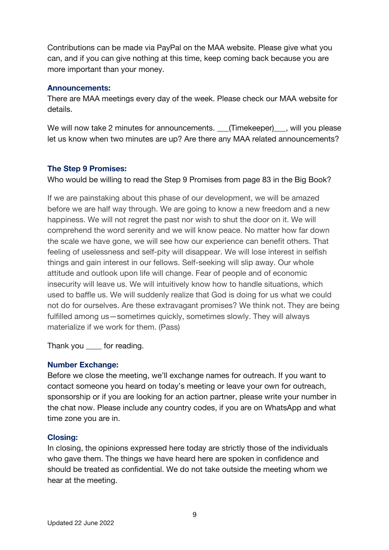Contributions can be made via PayPal on the MAA website. Please give what you can, and if you can give nothing at this time, keep coming back because you are more important than your money.

## **Announcements:**

There are MAA meetings every day of the week. Please check our MAA website for details.

We will now take 2 minutes for announcements. \_\_\_(Timekeeper)\_\_\_, will you please let us know when two minutes are up? Are there any MAA related announcements?

## **The Step 9 Promises:**

Who would be willing to read the Step 9 Promises from page 83 in the Big Book?

If we are painstaking about this phase of our development, we will be amazed before we are half way through. We are going to know a new freedom and a new happiness. We will not regret the past nor wish to shut the door on it. We will comprehend the word serenity and we will know peace. No matter how far down the scale we have gone, we will see how our experience can benefit others. That feeling of uselessness and self-pity will disappear. We will lose interest in selfish things and gain interest in our fellows. Self-seeking will slip away. Our whole attitude and outlook upon life will change. Fear of people and of economic insecurity will leave us. We will intuitively know how to handle situations, which used to baffle us. We will suddenly realize that God is doing for us what we could not do for ourselves. Are these extravagant promises? We think not. They are being fulfilled among us—sometimes quickly, sometimes slowly. They will always materialize if we work for them. (Pass)

Thank you \_\_\_\_ for reading.

## **Number Exchange:**

Before we close the meeting, we'll exchange names for outreach. If you want to contact someone you heard on today's meeting or leave your own for outreach, sponsorship or if you are looking for an action partner, please write your number in the chat now. Please include any country codes, if you are on WhatsApp and what time zone you are in.

## **Closing:**

In closing, the opinions expressed here today are strictly those of the individuals who gave them. The things we have heard here are spoken in confidence and should be treated as confidential. We do not take outside the meeting whom we hear at the meeting.